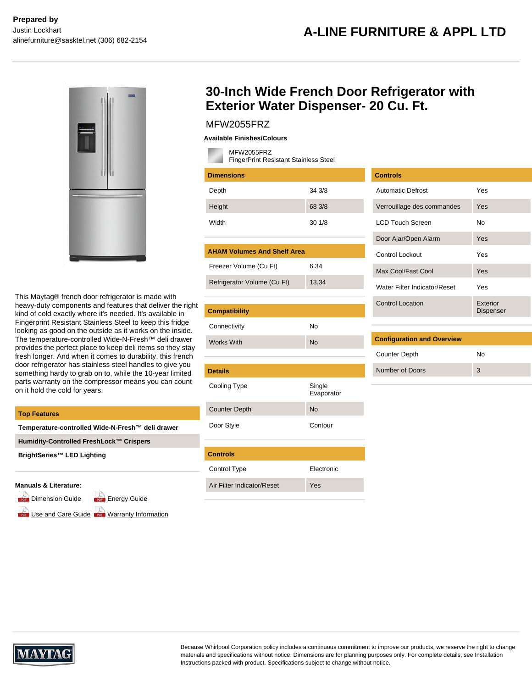

This Maytag® french door refrigerator is made with heavy-duty components and features that deliver the right kind of cold exactly where it's needed. It's available in Fingerprint Resistant Stainless Steel to keep this fridge looking as good on the outside as it works on the inside. The temperature-controlled Wide-N-Fresh™ deli drawer provides the perfect place to keep deli items so they stay fresh longer. And when it comes to durability, this french door refrigerator has stainless steel handles to give you something hardy to grab on to, while the 10-year limited parts warranty on the compressor means you can count on it hold the cold for years.

| <b>Top Features</b>                              | <b>Counter Depth</b>                                                |  |
|--------------------------------------------------|---------------------------------------------------------------------|--|
| Temperature-controlled Wide-N-Fresh™ deli drawer | Door Style                                                          |  |
| Humidity-Controlled FreshLock™ Crispers          |                                                                     |  |
| BrightSeries™ LED Lighting                       | <b>Controls</b>                                                     |  |
|                                                  | Control Type                                                        |  |
| .                                                | $\Lambda$ for $\Gamma$ if the set that $\Lambda$ is a finite set of |  |

#### **Manuals & Literature:**

[Dimension Guide](https://api.whirlpoolcentral.ca/?action=tk_download&tk_service=brochure_document&tk_file=MFW2055FRZ_dimension_guide_en.pdf&tk_id=431-141622) **For [Energy Guide](https://api.whirlpoolcentral.ca/?action=tk_download&tk_service=brochure_document&tk_file=MFW2055FRZ_energy_guide_en.pdf&tk_id=431-141622)** 

se and Care Guide **Lose** [Warranty Information](https://api.whirlpoolcentral.ca/?action=tk_download&tk_service=brochure_document&tk_file=MFW2055FRZ_warranty_en.pdf&tk_id=431-141622)

## **30-Inch Wide French Door Refrigerator with Exterior Water Dispenser- 20 Cu. Ft.**

## MFW2055FRZ

**Available Finishes/Colours**

MFW2055FRZ

| FingerPrint Resistant Stainless Steel |                      |  |  |  |  |  |
|---------------------------------------|----------------------|--|--|--|--|--|
| <b>Dimensions</b>                     |                      |  |  |  |  |  |
| Depth                                 | 34 3/8               |  |  |  |  |  |
| Height                                | 68 3/8               |  |  |  |  |  |
| Width                                 | 30 1/8               |  |  |  |  |  |
|                                       |                      |  |  |  |  |  |
| <b>AHAM Volumes And Shelf Area</b>    |                      |  |  |  |  |  |
| Freezer Volume (Cu Ft)                | 6.34                 |  |  |  |  |  |
| Refrigerator Volume (Cu Ft)           | 13.34                |  |  |  |  |  |
|                                       |                      |  |  |  |  |  |
| <b>Compatibility</b>                  |                      |  |  |  |  |  |
| Connectivity                          | No                   |  |  |  |  |  |
| <b>Works With</b>                     | <b>No</b>            |  |  |  |  |  |
|                                       |                      |  |  |  |  |  |
| <b>Details</b>                        |                      |  |  |  |  |  |
| Cooling Type                          | Single<br>Evaporator |  |  |  |  |  |
| <b>Counter Depth</b>                  | No                   |  |  |  |  |  |

**Controls** Automatic Defrost Yes Verrouillage des commandes Yes LCD Touch Screen No Door Ajar/Open Alarm Yes Control Lockout Yes Max Cool/Fast Cool Yes Water Filter Indicator/Reset Yes Control Location Exterior Dispenser

| <b>Configuration and Overview</b> |    |  |  |  |
|-----------------------------------|----|--|--|--|
| <b>Counter Depth</b>              | N٥ |  |  |  |
| Number of Doors                   | 3  |  |  |  |

Electronic Air Filter Indicator/Reset Yes

Contour



Because Whirlpool Corporation policy includes a continuous commitment to improve our products, we reserve the right to change materials and specifications without notice. Dimensions are for planning purposes only. For complete details, see Installation Instructions packed with product. Specifications subject to change without notice.